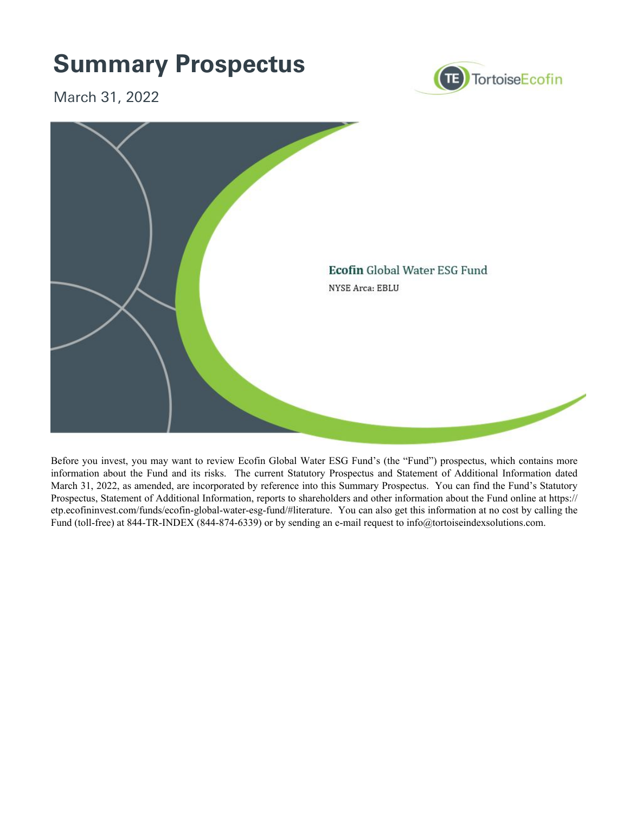

Before you invest, you may want to review Ecofin Global Water ESG Fund's (the "Fund") prospectus, which contains more information about the Fund and its risks. The current Statutory Prospectus and Statement of Additional Information dated March 31, 2022, as amended, are incorporated by reference into this Summary Prospectus. You can find the Fund's Statutory Prospectus, Statement of Additional Information, reports to shareholders and other information about the Fund online at https:// etp.ecofininvest.com/funds/ecofin-global-water-esg-fund/#literature. You can also get this information at no cost by calling the Fund (toll-free) at 844-TR-INDEX (844-874-6339) or by sending an e-mail request to info@tortoiseindexsolutions.com.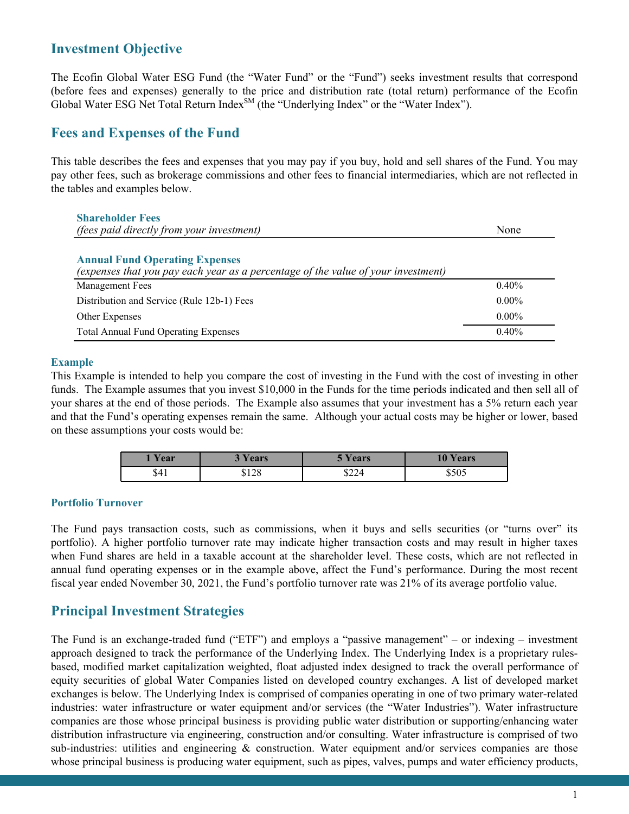## **Investment Objective**

The Ecofin Global Water ESG Fund (the "Water Fund" or the "Fund") seeks investment results that correspond (before fees and expenses) generally to the price and distribution rate (total return) performance of the Ecofin Global Water ESG Net Total Return Index<sup>SM</sup> (the "Underlying Index" or the "Water Index").

### **Fees and Expenses of the Fund**

This table describes the fees and expenses that you may pay if you buy, hold and sell shares of the Fund. You may pay other fees, such as brokerage commissions and other fees to financial intermediaries, which are not reflected in the tables and examples below.

| <b>Shareholder Fees</b>                                                                                                    |          |
|----------------------------------------------------------------------------------------------------------------------------|----------|
| <i>(fees paid directly from your investment)</i>                                                                           | None     |
|                                                                                                                            |          |
| <b>Annual Fund Operating Expenses</b><br>(expenses that you pay each year as a percentage of the value of your investment) |          |
| <b>Management Fees</b>                                                                                                     | $0.40\%$ |
| Distribution and Service (Rule 12b-1) Fees                                                                                 | $0.00\%$ |
| Other Expenses                                                                                                             | $0.00\%$ |
| <b>Total Annual Fund Operating Expenses</b>                                                                                | 0.40%    |

#### **Example**

This Example is intended to help you compare the cost of investing in the Fund with the cost of investing in other funds. The Example assumes that you invest \$10,000 in the Funds for the time periods indicated and then sell all of your shares at the end of those periods. The Example also assumes that your investment has a 5% return each year and that the Fund's operating expenses remain the same. Although your actual costs may be higher or lower, based on these assumptions your costs would be:

| Year | Vears | $\mathbf{Y}\mathbf{e}\mathbf{a}\mathbf{r}\mathbf{s}$ | <b>10 Years</b> |
|------|-------|------------------------------------------------------|-----------------|
| \$41 | \$128 | \$224                                                | \$505           |

#### **Portfolio Turnover**

The Fund pays transaction costs, such as commissions, when it buys and sells securities (or "turns over" its portfolio). A higher portfolio turnover rate may indicate higher transaction costs and may result in higher taxes when Fund shares are held in a taxable account at the shareholder level. These costs, which are not reflected in annual fund operating expenses or in the example above, affect the Fund's performance. During the most recent fiscal year ended November 30, 2021, the Fund's portfolio turnover rate was 21% of its average portfolio value.

## **Principal Investment Strategies**

The Fund is an exchange-traded fund ("ETF") and employs a "passive management" – or indexing – investment approach designed to track the performance of the Underlying Index. The Underlying Index is a proprietary rulesbased, modified market capitalization weighted, float adjusted index designed to track the overall performance of equity securities of global Water Companies listed on developed country exchanges. A list of developed market exchanges is below. The Underlying Index is comprised of companies operating in one of two primary water-related industries: water infrastructure or water equipment and/or services (the "Water Industries"). Water infrastructure companies are those whose principal business is providing public water distribution or supporting/enhancing water distribution infrastructure via engineering, construction and/or consulting. Water infrastructure is comprised of two sub-industries: utilities and engineering & construction. Water equipment and/or services companies are those whose principal business is producing water equipment, such as pipes, valves, pumps and water efficiency products,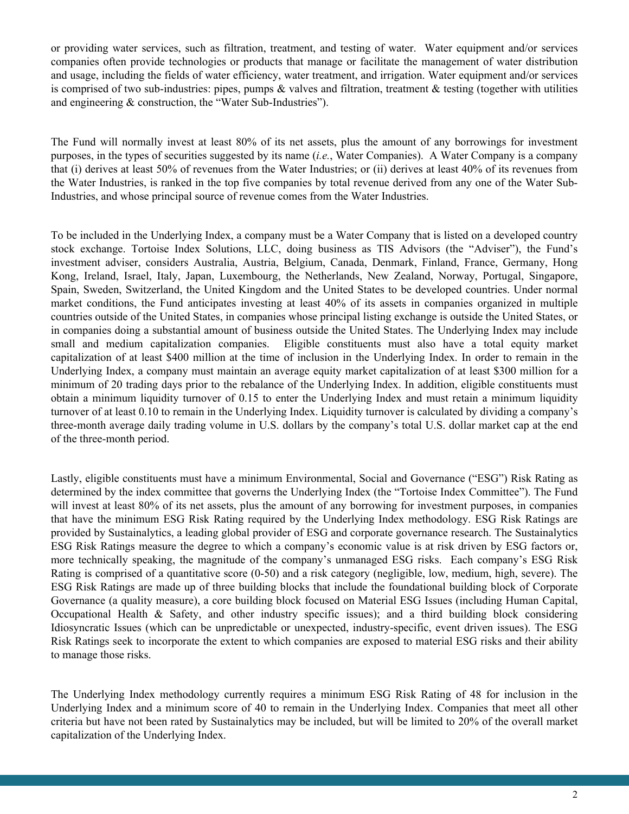or providing water services, such as filtration, treatment, and testing of water. Water equipment and/or services companies often provide technologies or products that manage or facilitate the management of water distribution and usage, including the fields of water efficiency, water treatment, and irrigation. Water equipment and/or services is comprised of two sub-industries: pipes, pumps  $\&$  valves and filtration, treatment  $\&$  testing (together with utilities and engineering & construction, the "Water Sub-Industries").

The Fund will normally invest at least 80% of its net assets, plus the amount of any borrowings for investment purposes, in the types of securities suggested by its name (*i.e.*, Water Companies). A Water Company is a company that (i) derives at least 50% of revenues from the Water Industries; or (ii) derives at least 40% of its revenues from the Water Industries, is ranked in the top five companies by total revenue derived from any one of the Water Sub-Industries, and whose principal source of revenue comes from the Water Industries.

To be included in the Underlying Index, a company must be a Water Company that is listed on a developed country stock exchange. Tortoise Index Solutions, LLC, doing business as TIS Advisors (the "Adviser"), the Fund's investment adviser, considers Australia, Austria, Belgium, Canada, Denmark, Finland, France, Germany, Hong Kong, Ireland, Israel, Italy, Japan, Luxembourg, the Netherlands, New Zealand, Norway, Portugal, Singapore, Spain, Sweden, Switzerland, the United Kingdom and the United States to be developed countries. Under normal market conditions, the Fund anticipates investing at least 40% of its assets in companies organized in multiple countries outside of the United States, in companies whose principal listing exchange is outside the United States, or in companies doing a substantial amount of business outside the United States. The Underlying Index may include small and medium capitalization companies. Eligible constituents must also have a total equity market capitalization of at least \$400 million at the time of inclusion in the Underlying Index. In order to remain in the Underlying Index, a company must maintain an average equity market capitalization of at least \$300 million for a minimum of 20 trading days prior to the rebalance of the Underlying Index. In addition, eligible constituents must obtain a minimum liquidity turnover of 0.15 to enter the Underlying Index and must retain a minimum liquidity turnover of at least 0.10 to remain in the Underlying Index. Liquidity turnover is calculated by dividing a company's three-month average daily trading volume in U.S. dollars by the company's total U.S. dollar market cap at the end of the three-month period.

Lastly, eligible constituents must have a minimum Environmental, Social and Governance ("ESG") Risk Rating as determined by the index committee that governs the Underlying Index (the "Tortoise Index Committee"). The Fund will invest at least 80% of its net assets, plus the amount of any borrowing for investment purposes, in companies that have the minimum ESG Risk Rating required by the Underlying Index methodology. ESG Risk Ratings are provided by Sustainalytics, a leading global provider of ESG and corporate governance research. The Sustainalytics ESG Risk Ratings measure the degree to which a company's economic value is at risk driven by ESG factors or, more technically speaking, the magnitude of the company's unmanaged ESG risks. Each company's ESG Risk Rating is comprised of a quantitative score (0-50) and a risk category (negligible, low, medium, high, severe). The ESG Risk Ratings are made up of three building blocks that include the foundational building block of Corporate Governance (a quality measure), a core building block focused on Material ESG Issues (including Human Capital, Occupational Health & Safety, and other industry specific issues); and a third building block considering Idiosyncratic Issues (which can be unpredictable or unexpected, industry-specific, event driven issues). The ESG Risk Ratings seek to incorporate the extent to which companies are exposed to material ESG risks and their ability to manage those risks.

The Underlying Index methodology currently requires a minimum ESG Risk Rating of 48 for inclusion in the Underlying Index and a minimum score of 40 to remain in the Underlying Index. Companies that meet all other criteria but have not been rated by Sustainalytics may be included, but will be limited to 20% of the overall market capitalization of the Underlying Index.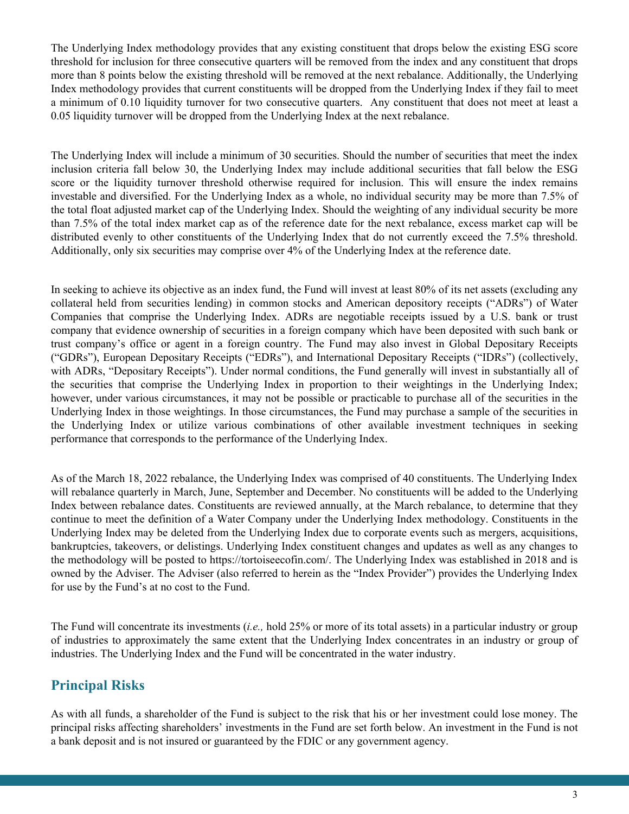The Underlying Index methodology provides that any existing constituent that drops below the existing ESG score threshold for inclusion for three consecutive quarters will be removed from the index and any constituent that drops more than 8 points below the existing threshold will be removed at the next rebalance. Additionally, the Underlying Index methodology provides that current constituents will be dropped from the Underlying Index if they fail to meet a minimum of 0.10 liquidity turnover for two consecutive quarters. Any constituent that does not meet at least a 0.05 liquidity turnover will be dropped from the Underlying Index at the next rebalance.

The Underlying Index will include a minimum of 30 securities. Should the number of securities that meet the index inclusion criteria fall below 30, the Underlying Index may include additional securities that fall below the ESG score or the liquidity turnover threshold otherwise required for inclusion. This will ensure the index remains investable and diversified. For the Underlying Index as a whole, no individual security may be more than 7.5% of the total float adjusted market cap of the Underlying Index. Should the weighting of any individual security be more than 7.5% of the total index market cap as of the reference date for the next rebalance, excess market cap will be distributed evenly to other constituents of the Underlying Index that do not currently exceed the 7.5% threshold. Additionally, only six securities may comprise over 4% of the Underlying Index at the reference date.

In seeking to achieve its objective as an index fund, the Fund will invest at least 80% of its net assets (excluding any collateral held from securities lending) in common stocks and American depository receipts ("ADRs") of Water Companies that comprise the Underlying Index. ADRs are negotiable receipts issued by a U.S. bank or trust company that evidence ownership of securities in a foreign company which have been deposited with such bank or trust company's office or agent in a foreign country. The Fund may also invest in Global Depositary Receipts ("GDRs"), European Depositary Receipts ("EDRs"), and International Depositary Receipts ("IDRs") (collectively, with ADRs, "Depositary Receipts"). Under normal conditions, the Fund generally will invest in substantially all of the securities that comprise the Underlying Index in proportion to their weightings in the Underlying Index; however, under various circumstances, it may not be possible or practicable to purchase all of the securities in the Underlying Index in those weightings. In those circumstances, the Fund may purchase a sample of the securities in the Underlying Index or utilize various combinations of other available investment techniques in seeking performance that corresponds to the performance of the Underlying Index.

As of the March 18, 2022 rebalance, the Underlying Index was comprised of 40 constituents. The Underlying Index will rebalance quarterly in March, June, September and December. No constituents will be added to the Underlying Index between rebalance dates. Constituents are reviewed annually, at the March rebalance, to determine that they continue to meet the definition of a Water Company under the Underlying Index methodology. Constituents in the Underlying Index may be deleted from the Underlying Index due to corporate events such as mergers, acquisitions, bankruptcies, takeovers, or delistings. Underlying Index constituent changes and updates as well as any changes to the methodology will be posted to https://tortoiseecofin.com/. The Underlying Index was established in 2018 and is owned by the Adviser. The Adviser (also referred to herein as the "Index Provider") provides the Underlying Index for use by the Fund's at no cost to the Fund.

The Fund will concentrate its investments (*i.e.,* hold 25% or more of its total assets) in a particular industry or group of industries to approximately the same extent that the Underlying Index concentrates in an industry or group of industries. The Underlying Index and the Fund will be concentrated in the water industry.

# **Principal Risks**

As with all funds, a shareholder of the Fund is subject to the risk that his or her investment could lose money. The principal risks affecting shareholders' investments in the Fund are set forth below. An investment in the Fund is not a bank deposit and is not insured or guaranteed by the FDIC or any government agency.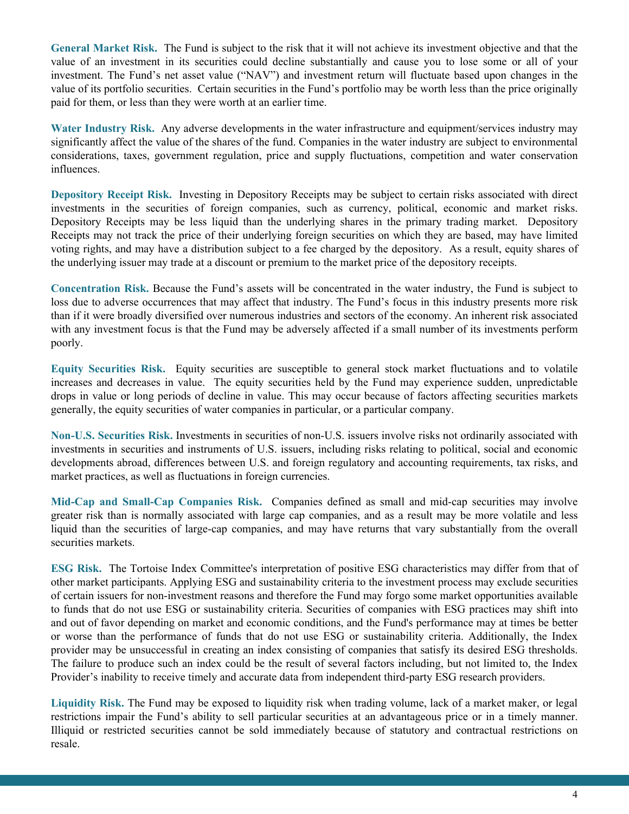**General Market Risk.**The Fund is subject to the risk that it will not achieve its investment objective and that the value of an investment in its securities could decline substantially and cause you to lose some or all of your investment. The Fund's net asset value ("NAV") and investment return will fluctuate based upon changes in the value of its portfolio securities. Certain securities in the Fund's portfolio may be worth less than the price originally paid for them, or less than they were worth at an earlier time.

**Water Industry Risk.**Any adverse developments in the water infrastructure and equipment/services industry may significantly affect the value of the shares of the fund. Companies in the water industry are subject to environmental considerations, taxes, government regulation, price and supply fluctuations, competition and water conservation influences.

**Depository Receipt Risk.**Investing in Depository Receipts may be subject to certain risks associated with direct investments in the securities of foreign companies, such as currency, political, economic and market risks. Depository Receipts may be less liquid than the underlying shares in the primary trading market. Depository Receipts may not track the price of their underlying foreign securities on which they are based, may have limited voting rights, and may have a distribution subject to a fee charged by the depository. As a result, equity shares of the underlying issuer may trade at a discount or premium to the market price of the depository receipts.

**Concentration Risk.** Because the Fund's assets will be concentrated in the water industry, the Fund is subject to loss due to adverse occurrences that may affect that industry. The Fund's focus in this industry presents more risk than if it were broadly diversified over numerous industries and sectors of the economy. An inherent risk associated with any investment focus is that the Fund may be adversely affected if a small number of its investments perform poorly.

**Equity Securities Risk.**Equity securities are susceptible to general stock market fluctuations and to volatile increases and decreases in value. The equity securities held by the Fund may experience sudden, unpredictable drops in value or long periods of decline in value. This may occur because of factors affecting securities markets generally, the equity securities of water companies in particular, or a particular company.

**Non-U.S. Securities Risk.** Investments in securities of non-U.S. issuers involve risks not ordinarily associated with investments in securities and instruments of U.S. issuers, including risks relating to political, social and economic developments abroad, differences between U.S. and foreign regulatory and accounting requirements, tax risks, and market practices, as well as fluctuations in foreign currencies.

**Mid-Cap and Small-Cap Companies Risk.**Companies defined as small and mid-cap securities may involve greater risk than is normally associated with large cap companies, and as a result may be more volatile and less liquid than the securities of large-cap companies, and may have returns that vary substantially from the overall securities markets.

**ESG Risk.** The Tortoise Index Committee's interpretation of positive ESG characteristics may differ from that of other market participants. Applying ESG and sustainability criteria to the investment process may exclude securities of certain issuers for non-investment reasons and therefore the Fund may forgo some market opportunities available to funds that do not use ESG or sustainability criteria. Securities of companies with ESG practices may shift into and out of favor depending on market and economic conditions, and the Fund's performance may at times be better or worse than the performance of funds that do not use ESG or sustainability criteria. Additionally, the Index provider may be unsuccessful in creating an index consisting of companies that satisfy its desired ESG thresholds. The failure to produce such an index could be the result of several factors including, but not limited to, the Index Provider's inability to receive timely and accurate data from independent third-party ESG research providers.

**Liquidity Risk.** The Fund may be exposed to liquidity risk when trading volume, lack of a market maker, or legal restrictions impair the Fund's ability to sell particular securities at an advantageous price or in a timely manner. Illiquid or restricted securities cannot be sold immediately because of statutory and contractual restrictions on resale.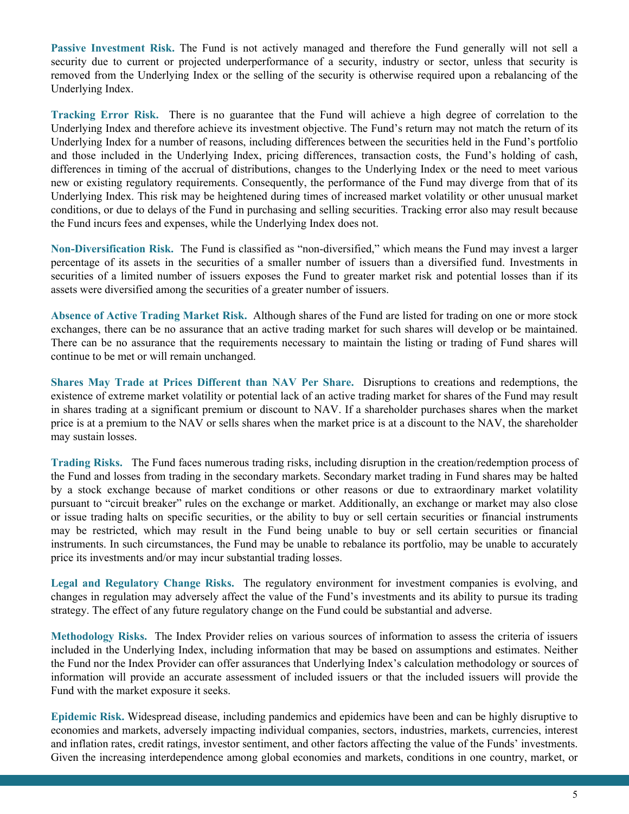**Passive Investment Risk.** The Fund is not actively managed and therefore the Fund generally will not sell a security due to current or projected underperformance of a security, industry or sector, unless that security is removed from the Underlying Index or the selling of the security is otherwise required upon a rebalancing of the Underlying Index.

**Tracking Error Risk.**There is no guarantee that the Fund will achieve a high degree of correlation to the Underlying Index and therefore achieve its investment objective. The Fund's return may not match the return of its Underlying Index for a number of reasons, including differences between the securities held in the Fund's portfolio and those included in the Underlying Index, pricing differences, transaction costs, the Fund's holding of cash, differences in timing of the accrual of distributions, changes to the Underlying Index or the need to meet various new or existing regulatory requirements. Consequently, the performance of the Fund may diverge from that of its Underlying Index. This risk may be heightened during times of increased market volatility or other unusual market conditions, or due to delays of the Fund in purchasing and selling securities. Tracking error also may result because the Fund incurs fees and expenses, while the Underlying Index does not.

**Non-Diversification Risk.** The Fund is classified as "non-diversified," which means the Fund may invest a larger percentage of its assets in the securities of a smaller number of issuers than a diversified fund. Investments in securities of a limited number of issuers exposes the Fund to greater market risk and potential losses than if its assets were diversified among the securities of a greater number of issuers.

**Absence of Active Trading Market Risk.** Although shares of the Fund are listed for trading on one or more stock exchanges, there can be no assurance that an active trading market for such shares will develop or be maintained. There can be no assurance that the requirements necessary to maintain the listing or trading of Fund shares will continue to be met or will remain unchanged.

**Shares May Trade at Prices Different than NAV Per Share.** Disruptions to creations and redemptions, the existence of extreme market volatility or potential lack of an active trading market for shares of the Fund may result in shares trading at a significant premium or discount to NAV. If a shareholder purchases shares when the market price is at a premium to the NAV or sells shares when the market price is at a discount to the NAV, the shareholder may sustain losses.

**Trading Risks.** The Fund faces numerous trading risks, including disruption in the creation/redemption process of the Fund and losses from trading in the secondary markets. Secondary market trading in Fund shares may be halted by a stock exchange because of market conditions or other reasons or due to extraordinary market volatility pursuant to "circuit breaker" rules on the exchange or market. Additionally, an exchange or market may also close or issue trading halts on specific securities, or the ability to buy or sell certain securities or financial instruments may be restricted, which may result in the Fund being unable to buy or sell certain securities or financial instruments. In such circumstances, the Fund may be unable to rebalance its portfolio, may be unable to accurately price its investments and/or may incur substantial trading losses.

Legal and Regulatory Change Risks. The regulatory environment for investment companies is evolving, and changes in regulation may adversely affect the value of the Fund's investments and its ability to pursue its trading strategy. The effect of any future regulatory change on the Fund could be substantial and adverse.

**Methodology Risks.**The Index Provider relies on various sources of information to assess the criteria of issuers included in the Underlying Index, including information that may be based on assumptions and estimates. Neither the Fund nor the Index Provider can offer assurances that Underlying Index's calculation methodology or sources of information will provide an accurate assessment of included issuers or that the included issuers will provide the Fund with the market exposure it seeks.

**Epidemic Risk.** Widespread disease, including pandemics and epidemics have been and can be highly disruptive to economies and markets, adversely impacting individual companies, sectors, industries, markets, currencies, interest and inflation rates, credit ratings, investor sentiment, and other factors affecting the value of the Funds' investments. Given the increasing interdependence among global economies and markets, conditions in one country, market, or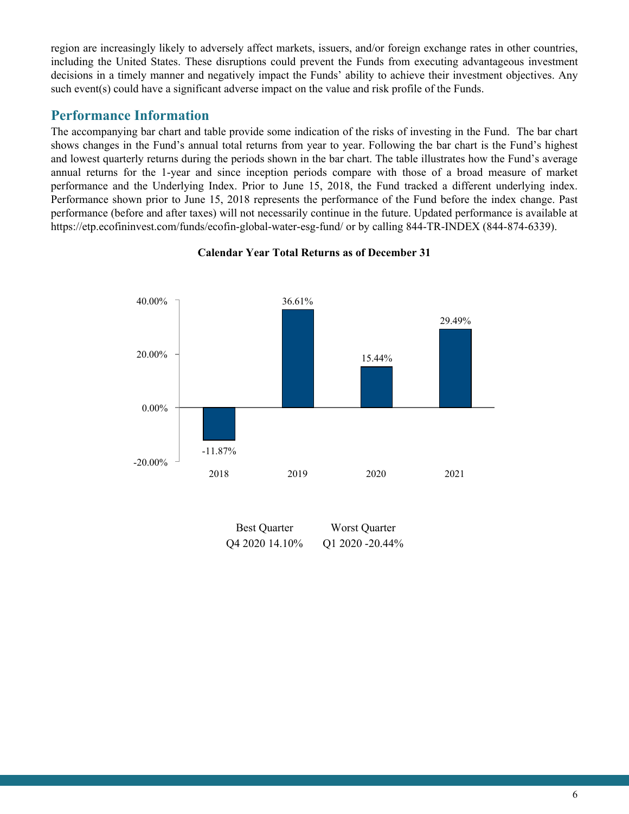region are increasingly likely to adversely affect markets, issuers, and/or foreign exchange rates in other countries, including the United States. These disruptions could prevent the Funds from executing advantageous investment decisions in a timely manner and negatively impact the Funds' ability to achieve their investment objectives. Any such event(s) could have a significant adverse impact on the value and risk profile of the Funds.

## **Performance Information**

The accompanying bar chart and table provide some indication of the risks of investing in the Fund. The bar chart shows changes in the Fund's annual total returns from year to year. Following the bar chart is the Fund's highest and lowest quarterly returns during the periods shown in the bar chart. The table illustrates how the Fund's average annual returns for the 1-year and since inception periods compare with those of a broad measure of market performance and the Underlying Index. Prior to June 15, 2018, the Fund tracked a different underlying index. Performance shown prior to June 15, 2018 represents the performance of the Fund before the index change. Past performance (before and after taxes) will not necessarily continue in the future. Updated performance is available at https://etp.ecofininvest.com/funds/ecofin-global-water-esg-fund/ or by calling 844-TR-INDEX (844-874-6339).



#### **Calendar Year Total Returns as of December 31**

| <b>Best Quarter</b> | Worst Quarter       |
|---------------------|---------------------|
| Q4 2020 14.10%      | Q1 2020 - $20.44\%$ |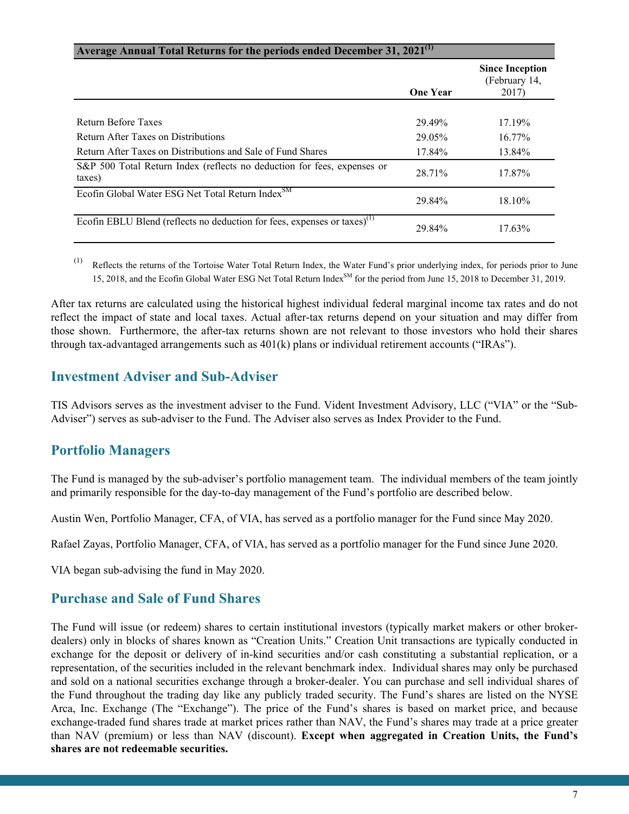#### **Average Annual Total Returns for the periods ended December 31, 2021(1)**

|                                                                                      | <b>One Year</b> | <b>Since Inception</b><br>(February 14,<br>2017) |
|--------------------------------------------------------------------------------------|-----------------|--------------------------------------------------|
|                                                                                      |                 |                                                  |
| <b>Return Before Taxes</b>                                                           | 29.49%          | 17.19%                                           |
| Return After Taxes on Distributions                                                  | 29.05%          | $16.77\%$                                        |
| Return After Taxes on Distributions and Sale of Fund Shares                          | 17.84%          | 13.84%                                           |
| S&P 500 Total Return Index (reflects no deduction for fees, expenses or<br>taxes)    | 28.71%          | 17.87%                                           |
| Ecofin Global Water ESG Net Total Return Index <sup>SM</sup>                         | 29.84%          | 18.10%                                           |
| Ecofin EBLU Blend (reflects no deduction for fees, expenses or taxes) <sup>(1)</sup> | 29.84%          | 17.63%                                           |

(1) Reflects the returns of the Tortoise Water Total Return Index, the Water Fund's prior underlying index, for periods prior to June 15, 2018, and the Ecofin Global Water ESG Net Total Return Index<sup>SM</sup> for the period from June 15, 2018 to December 31, 2019.

After tax returns are calculated using the historical highest individual federal marginal income tax rates and do not reflect the impact of state and local taxes. Actual after-tax returns depend on your situation and may differ from those shown. Furthermore, the after-tax returns shown are not relevant to those investors who hold their shares through tax-advantaged arrangements such as 401(k) plans or individual retirement accounts ("IRAs").

### **Investment Adviser and Sub-Adviser**

TIS Advisors serves as the investment adviser to the Fund. Vident Investment Advisory, LLC ("VIA" or the "Sub-Adviser") serves as sub-adviser to the Fund. The Adviser also serves as Index Provider to the Fund.

### **Portfolio Managers**

The Fund is managed by the sub-adviser's portfolio management team. The individual members of the team jointly and primarily responsible for the day-to-day management of the Fund's portfolio are described below.

Austin Wen, Portfolio Manager, CFA, of VIA, has served as a portfolio manager for the Fund since May 2020.

Rafael Zayas, Portfolio Manager, CFA, of VIA, has served as a portfolio manager for the Fund since June 2020.

VIA began sub-advising the fund in May 2020.

### **Purchase and Sale of Fund Shares**

The Fund will issue (or redeem) shares to certain institutional investors (typically market makers or other brokerdealers) only in blocks of shares known as "Creation Units." Creation Unit transactions are typically conducted in exchange for the deposit or delivery of in-kind securities and/or cash constituting a substantial replication, or a representation, of the securities included in the relevant benchmark index. Individual shares may only be purchased and sold on a national securities exchange through a broker-dealer. You can purchase and sell individual shares of the Fund throughout the trading day like any publicly traded security. The Fund's shares are listed on the NYSE Arca, Inc. Exchange (The "Exchange"). The price of the Fund's shares is based on market price, and because exchange-traded fund shares trade at market prices rather than NAV, the Fund's shares may trade at a price greater than NAV (premium) or less than NAV (discount). **Except when aggregated in Creation Units, the Fund's shares are not redeemable securities.**